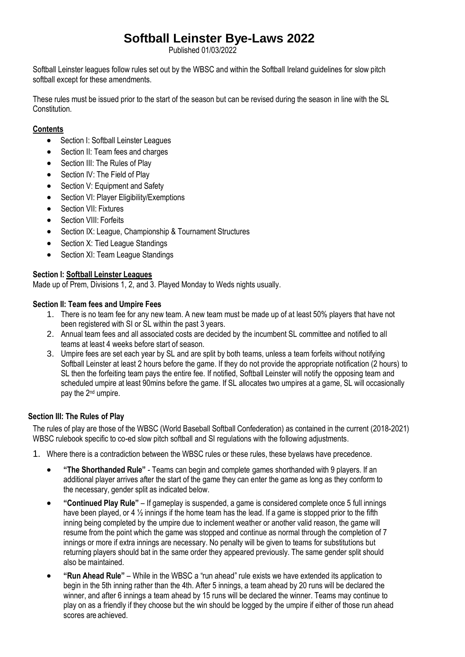# **Softball Leinster Bye-Laws 2022**

Published 01/03/2022

Softball Leinster leagues follow rules set out by the WBSC and within the Softball Ireland guidelines for slow pitch softball except for these amendments.

These rules must be issued prior to the start of the season but can be revised during the season in line with the SL Constitution.

## **Contents**

- Section I: Softball Leinster Leagues
- Section II: Team fees and charges
- Section III: The Rules of Play
- Section IV: The Field of Play
- Section V: Equipment and Safety
- Section VI: Player Eligibility/Exemptions
- Section VII: Fixtures
- **•** Section VIII: Forfeits
- Section IX: League, Championship & Tournament Structures
- Section X: Tied League Standings
- Section XI: Team League Standings

## **Section I: Softball Leinster Leagues**

Made up of Prem, Divisions 1, 2, and 3. Played Monday to Weds nights usually.

## **Section II: Team fees and Umpire Fees**

- 1. There is no team fee for any new team. A new team must be made up of at least 50% players that have not been registered with SI or SL within the past 3 years.
- 2. Annual team fees and all associated costs are decided by the incumbent SL committee and notified to all teams at least 4 weeks before start of season.
- 3. Umpire fees are set each year by SL and are split by both teams, unless a team forfeits without notifying Softball Leinster at least 2 hours before the game. If they do not provide the appropriate notification (2 hours) to SL then the forfeiting team pays the entire fee. If notified, Softball Leinster will notify the opposing team and scheduled umpire at least 90mins before the game. If SL allocates two umpires at a game, SL will occasionally pay the 2nd umpire.

## **Section III: The Rules of Play**

The rules of play are those of the WBSC (World Baseball Softball Confederation) as contained in the current (2018-2021) WBSC rulebook specific to co-ed slow pitch softball and SI regulations with the following adjustments.

- 1. Where there is a contradiction between the WBSC rules or these rules, these byelaws have precedence.
	- **"The Shorthanded Rule"**  Teams can begin and complete games shorthanded with 9 players. If an additional player arrives after the start of the game they can enter the game as long as they conform to the necessary, gender split as indicated below.
	- **"Continued Play Rule"**  If gameplay is suspended, a game is considered complete once 5 full innings have been played, or 4  $\frac{1}{2}$  innings if the home team has the lead. If a game is stopped prior to the fifth inning being completed by the umpire due to inclement weather or another valid reason, the game will resume from the point which the game was stopped and continue as normal through the completion of 7 innings or more if extra innings are necessary. No penalty will be given to teams for substitutions but returning players should bat in the same order they appeared previously. The same gender split should also be maintained.
	- **"Run Ahead Rule"**  While in the WBSC a "run ahead" rule exists we have extended its application to begin in the 5th inning rather than the 4th. After 5 innings, a team ahead by 20 runs will be declared the winner, and after 6 innings a team ahead by 15 runs will be declared the winner. Teams may continue to play on as a friendly if they choose but the win should be logged by the umpire if either of those run ahead scores are achieved.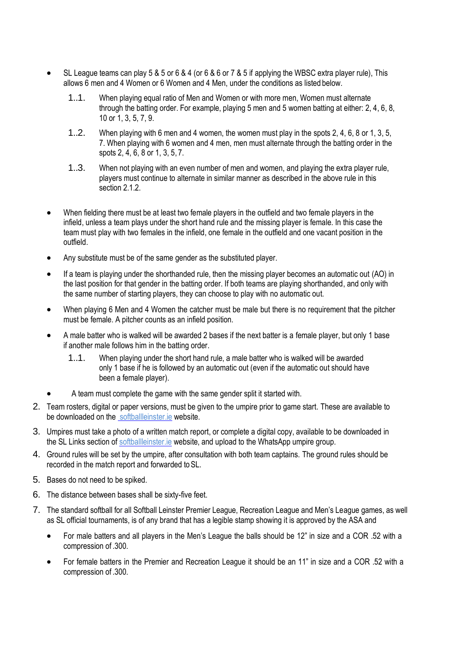- SL League teams can play 5 & 5 or 6 & 4 (or 6 & 6 or 7 & 5 if applying the WBSC extra player rule), This allows 6 men and 4 Women or 6 Women and 4 Men, under the conditions as listed below.
	- 1..1. When playing equal ratio of Men and Women or with more men, Women must alternate through the batting order. For example, playing 5 men and 5 women batting at either: 2, 4, 6, 8, 10 or 1, 3, 5, 7, 9.
	- 1..2. When playing with 6 men and 4 women, the women must play in the spots 2, 4, 6, 8 or 1, 3, 5, 7. When playing with 6 women and 4 men, men must alternate through the batting order in the spots 2, 4, 6, 8 or 1, 3, 5, 7.
	- 1..3. When not playing with an even number of men and women, and playing the extra player rule, players must continue to alternate in similar manner as described in the above rule in this section 2.1.2
- When fielding there must be at least two female players in the outfield and two female players in the infield, unless a team plays under the short hand rule and the missing player is female. In this case the team must play with two females in the infield, one female in the outfield and one vacant position in the outfield.
- Any substitute must be of the same gender as the substituted player.
- If a team is playing under the shorthanded rule, then the missing player becomes an automatic out (AO) in the last position for that gender in the batting order. If both teams are playing shorthanded, and only with the same number of starting players, they can choose to play with no automatic out.
- When playing 6 Men and 4 Women the catcher must be male but there is no requirement that the pitcher must be female. A pitcher counts as an infield position.
- A male batter who is walked will be awarded 2 bases if the next batter is a female player, but only 1 base if another male follows him in the batting order.
	- 1..1. When playing under the short hand rule, a male batter who is walked will be awarded only 1 base if he is followed by an automatic out (even if the automatic out should have been a female player).
- A team must complete the game with the same gender split it started with.
- 2. Team rosters, digital or paper versions, must be given to the umpire prior to game start. These are available to be downloaded on the softballleinster ie website.
- 3. Umpires must take a photo of a written match report, or complete a digital copy, available to be downloaded in the SL Links section of [softballleinster.ie](http://www.softballleinster.ie/wp-content/uploads/2016/04/New-match-report-lineup-card.pdf) website, and upload to the WhatsApp umpire group.
- 4. Ground rules will be set by the umpire, after consultation with both team captains. The ground rules should be recorded in the match report and forwarded toSL.
- 5. Bases do not need to be spiked.
- 6. The distance between bases shall be sixty-five feet.
- 7. The standard softball for all Softball Leinster Premier League, Recreation League and Men's League games, as well as SL official tournaments, is of any brand that has a legible stamp showing it is approved by the ASA and
	- For male batters and all players in the Men's League the balls should be 12" in size and a COR .52 with a compression of .300.
	- For female batters in the Premier and Recreation League it should be an 11" in size and a COR .52 with a compression of .300.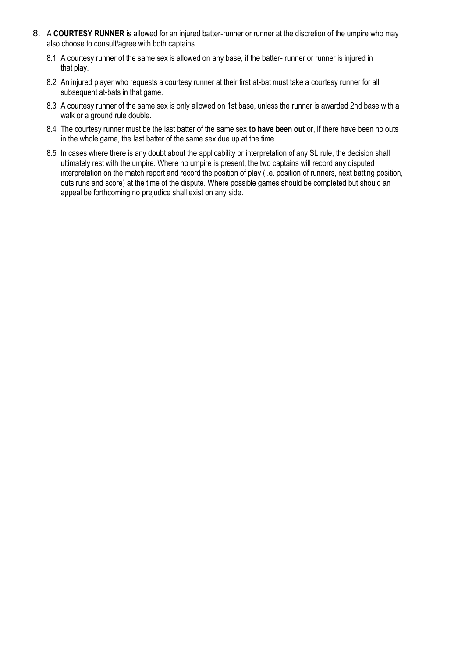- 8. A **COURTESY RUNNER** is allowed for an injured batter-runner or runner at the discretion of the umpire who may also choose to consult/agree with both captains.
	- 8.1 A courtesy runner of the same sex is allowed on any base, if the batter- runner or runner is injured in that play.
	- 8.2 An injured player who requests a courtesy runner at their first at-bat must take a courtesy runner for all subsequent at-bats in that game.
	- 8.3 A courtesy runner of the same sex is only allowed on 1st base, unless the runner is awarded 2nd base with a walk or a ground rule double.
	- 8.4 The courtesy runner must be the last batter of the same sex **to have been out** or, if there have been no outs in the whole game, the last batter of the same sex due up at the time.
	- 8.5 In cases where there is any doubt about the applicability or interpretation of any SL rule, the decision shall ultimately rest with the umpire. Where no umpire is present, the two captains will record any disputed interpretation on the match report and record the position of play (i.e. position of runners, next batting position, outs runs and score) at the time of the dispute. Where possible games should be completed but should an appeal be forthcoming no prejudice shall exist on any side.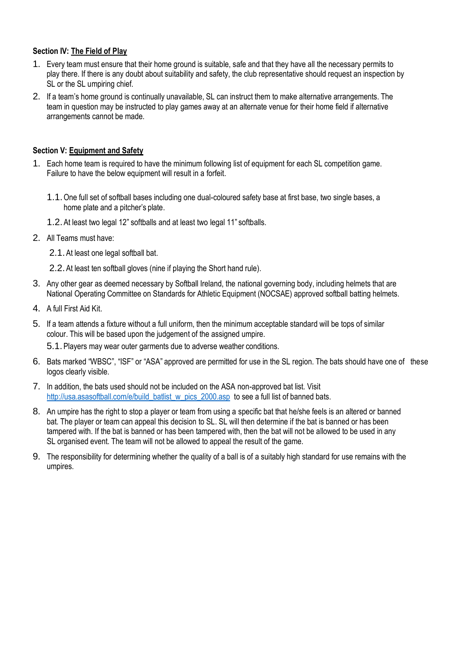## **Section IV: The Field of Play**

- 1. Every team must ensure that their home ground is suitable, safe and that they have all the necessary permits to play there. If there is any doubt about suitability and safety, the club representative should request an inspection by SL or the SL umpiring chief.
- 2. If a team's home ground is continually unavailable, SL can instruct them to make alternative arrangements. The team in question may be instructed to play games away at an alternate venue for their home field if alternative arrangements cannot be made.

## **Section V: Equipment and Safety**

- 1. Each home team is required to have the minimum following list of equipment for each SL competition game. Failure to have the below equipment will result in a forfeit.
	- 1.1.One full set of softball bases including one dual-coloured safety base at first base, two single bases, a home plate and a pitcher's plate.
	- 1.2.At least two legal 12" softballs and at least two legal 11" softballs.
- 2. All Teams must have:
	- 2.1.At least one legal softball bat.
	- 2.2.At least ten softball gloves (nine if playing the Short hand rule).
- 3. Any other gear as deemed necessary by Softball Ireland, the national governing body, including helmets that are National Operating Committee on Standards for Athletic Equipment (NOCSAE) approved softball batting helmets.
- 4. A full First Aid Kit.
- 5. If a team attends a fixture without a full uniform, then the minimum acceptable standard will be tops of similar colour. This will be based upon the judgement of the assigned umpire.

5.1.Players may wear outer garments due to adverse weather conditions.

- 6. Bats marked "WBSC", "ISF" or "ASA" approved are permitted for use in the SL region. The bats should have one of these logos clearly visible.
- 7. In addition, the bats used should not be included on the ASA non-approved bat list. Visit [http://usa.asasoftball.com/e/build\\_batlist\\_w\\_pics\\_2000.asp](http://usa.asasoftball.com/e/build_batlist_w_pics_2000.asp) to see a full list of banned bats.
- 8. An umpire has the right to stop a player or team from using a specific bat that he/she feels is an altered or banned bat. The player or team can appeal this decision to SL. SL will then determine if the bat is banned or has been tampered with. If the bat is banned or has been tampered with, then the bat will not be allowed to be used in any SL organised event. The team will not be allowed to appeal the result of the game.
- 9. The responsibility for determining whether the quality of a ball is of a suitably high standard for use remains with the umpires.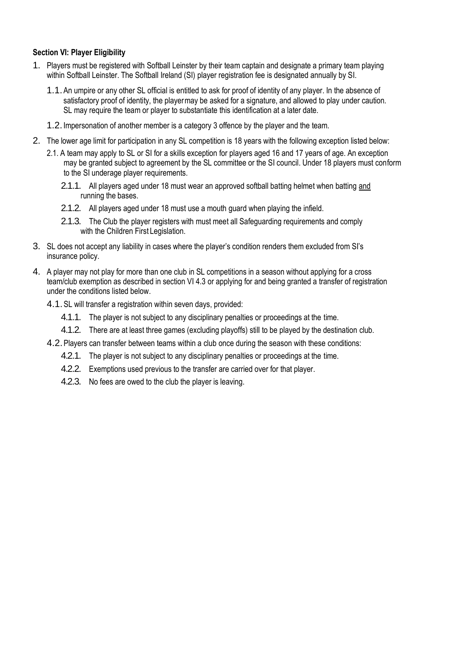### **Section VI: Player Eligibility**

- 1. Players must be registered with Softball Leinster by their team captain and designate a primary team playing within Softball Leinster. The Softball Ireland (SI) player registration fee is designated annually by SI.
	- 1.1.An umpire or any other SL official is entitled to ask for proof of identity of any player. In the absence of satisfactory proof of identity, the playermay be asked for a signature, and allowed to play under caution. SL may require the team or player to substantiate this identification at a later date.
	- 1.2.Impersonation of another member is a category 3 offence by the player and the team.
- 2. The lower age limit for participation in any SL competition is 18 years with the following exception listed below:
	- 2.1. A team may apply to SL or SI for a skills exception for players aged 16 and 17 years of age. An exception may be granted subject to agreement by the SL committee or the SI council. Under 18 players must conform to the SI underage player requirements.
		- 2.1.1. All players aged under 18 must wear an approved softball batting helmet when batting and running the bases.
		- 2.1.2. All players aged under 18 must use a mouth guard when playing the infield.
		- 2.1.3. The Club the player registers with must meet all Safeguarding requirements and comply with the Children First Legislation.
- 3. SL does not accept any liability in cases where the player's condition renders them excluded from SI's insurance policy.
- 4. A player may not play for more than one club in SL competitions in a season without applying for a cross team/club exemption as described in section VI 4.3 or applying for and being granted a transfer of registration under the conditions listed below.
	- 4.1.SL will transfer a registration within seven days, provided:
		- 4.1.1. The player is not subject to any disciplinary penalties or proceedings at the time.
		- 4.1.2. There are at least three games (excluding playoffs) still to be played by the destination club.
	- 4.2.Players can transfer between teams within a club once during the season with these conditions:
		- 4.2.1. The player is not subject to any disciplinary penalties or proceedings at the time.
		- 4.2.2. Exemptions used previous to the transfer are carried over for that player.
		- 4.2.3. No fees are owed to the club the player is leaving.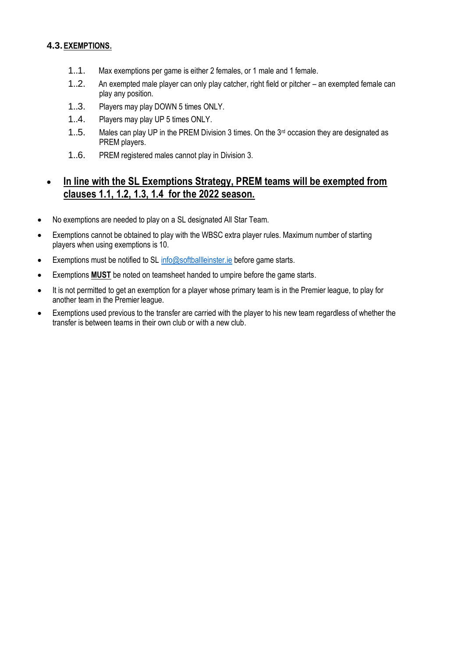## **4.3.EXEMPTIONS.**

- 1..1. Max exemptions per game is either 2 females, or 1 male and 1 female.
- 1..2. An exempted male player can only play catcher, right field or pitcher an exempted female can play any position.
- 1..3. Players may play DOWN 5 times ONLY.
- 1..4. Players may play UP 5 times ONLY.
- 1..5. Males can play UP in the PREM Division 3 times. On the 3<sup>rd</sup> occasion they are designated as PREM players.
- 1..6. PREM registered males cannot play in Division 3.

## **In line with the SL Exemptions Strategy, PREM teams will be exempted from clauses 1.1, 1.2, 1.3, 1.4 for the 2022 season.**

- No exemptions are needed to play on a SL designated All Star Team.
- Exemptions cannot be obtained to play with the WBSC extra player rules. Maximum number of starting players when using exemptions is 10.
- Exemptions must be notified to SL [info@softballleinster.ie](mailto:info@softballleinster.ie) before game starts.
- Exemptions **MUST** be noted on teamsheet handed to umpire before the game starts.
- It is not permitted to get an exemption for a player whose primary team is in the Premier league, to play for another team in the Premier league.
- Exemptions used previous to the transfer are carried with the player to his new team regardless of whether the transfer is between teams in their own club or with a new club.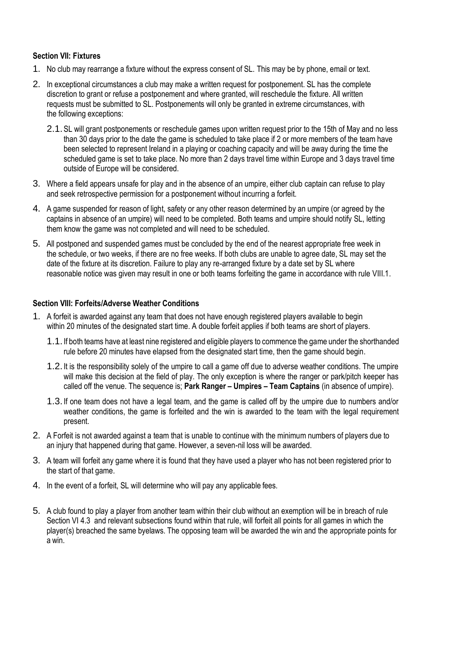#### **Section VII: Fixtures**

- 1. No club may rearrange a fixture without the express consent of SL. This may be by phone, email or text.
- 2. In exceptional circumstances a club may make a written request for postponement. SL has the complete discretion to grant or refuse a postponement and where granted, will reschedule the fixture. All written requests must be submitted to SL. Postponements will only be granted in extreme circumstances, with the following exceptions:
	- 2.1.SL will grant postponements or reschedule games upon written request prior to the 15th of May and no less than 30 days prior to the date the game is scheduled to take place if 2 or more members of the team have been selected to represent Ireland in a playing or coaching capacity and will be away during the time the scheduled game is set to take place. No more than 2 days travel time within Europe and 3 days travel time outside of Europe will be considered.
- 3. Where a field appears unsafe for play and in the absence of an umpire, either club captain can refuse to play and seek retrospective permission for a postponement without incurring a forfeit.
- 4. A game suspended for reason of light, safety or any other reason determined by an umpire (or agreed by the captains in absence of an umpire) will need to be completed. Both teams and umpire should notify SL, letting them know the game was not completed and will need to be scheduled.
- 5. All postponed and suspended games must be concluded by the end of the nearest appropriate free week in the schedule, or two weeks, if there are no free weeks. If both clubs are unable to agree date, SL may set the date of the fixture at its discretion. Failure to play any re-arranged fixture by a date set by SL where reasonable notice was given may result in one or both teams forfeiting the game in accordance with rule VIII.1.

#### **Section VIII: Forfeits/Adverse Weather Conditions**

- 1. A forfeit is awarded against any team that does not have enough registered players available to begin within 20 minutes of the designated start time. A double forfeit applies if both teams are short of players.
	- 1.1.If both teams have at least nine registered and eligible players to commence the game under the shorthanded rule before 20 minutes have elapsed from the designated start time, then the game should begin.
	- 1.2.It is the responsibility solely of the umpire to call a game off due to adverse weather conditions. The umpire will make this decision at the field of play. The only exception is where the ranger or park/pitch keeper has called off the venue. The sequence is; **Park Ranger – Umpires – Team Captains** (in absence of umpire).
	- 1.3.If one team does not have a legal team, and the game is called off by the umpire due to numbers and/or weather conditions, the game is forfeited and the win is awarded to the team with the legal requirement present.
- 2. A Forfeit is not awarded against a team that is unable to continue with the minimum numbers of players due to an injury that happened during that game. However, a seven-nil loss will be awarded.
- 3. A team will forfeit any game where it is found that they have used a player who has not been registered prior to the start of that game.
- 4. In the event of a forfeit, SL will determine who will pay any applicable fees.
- 5. A club found to play a player from another team within their club without an exemption will be in breach of rule Section VI 4.3 and relevant subsections found within that rule, will forfeit all points for all games in which the player(s) breached the same byelaws. The opposing team will be awarded the win and the appropriate points for a win.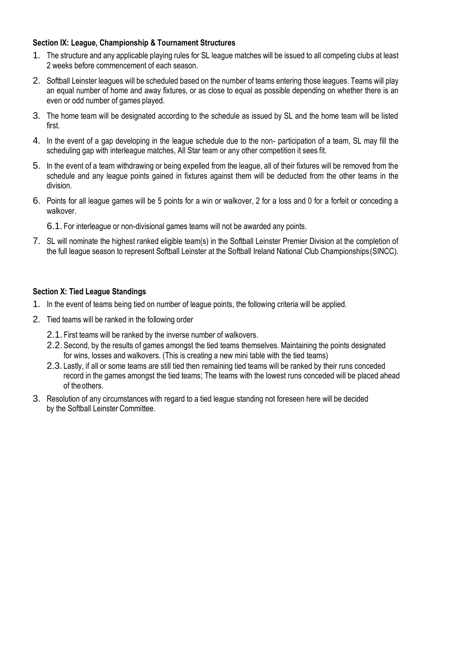## **Section IX: League, Championship & Tournament Structures**

- 1. The structure and any applicable playing rules for SL league matches will be issued to all competing clubs at least 2 weeks before commencement of each season.
- 2. Softball Leinster leagues will be scheduled based on the number of teams entering those leagues. Teams will play an equal number of home and away fixtures, or as close to equal as possible depending on whether there is an even or odd number of games played.
- 3. The home team will be designated according to the schedule as issued by SL and the home team will be listed first.
- 4. In the event of a gap developing in the league schedule due to the non- participation of a team, SL may fill the scheduling gap with interleague matches, All Star team or any other competition it sees fit.
- 5. In the event of a team withdrawing or being expelled from the league, all of their fixtures will be removed from the schedule and any league points gained in fixtures against them will be deducted from the other teams in the division.
- 6. Points for all league games will be 5 points for a win or walkover, 2 for a loss and 0 for a forfeit or conceding a walkover.

6.1. For interleague or non-divisional games teams will not be awarded any points.

7. SL will nominate the highest ranked eligible team(s) in the Softball Leinster Premier Division at the completion of the full league season to represent Softball Leinster at the Softball Ireland National Club Championships (SINCC).

## **Section X: Tied League Standings**

- 1. In the event of teams being tied on number of league points, the following criteria will be applied.
- 2. Tied teams will be ranked in the following order
	- 2.1. First teams will be ranked by the inverse number of walkovers.
	- 2.2.Second, by the results of games amongst the tied teams themselves. Maintaining the points designated for wins, losses and walkovers. (This is creating a new mini table with the tied teams)
	- 2.3. Lastly, if all or some teams are still tied then remaining tied teams will be ranked by their runs conceded record in the games amongst the tied teams; The teams with the lowest runs conceded will be placed ahead of theothers.
- 3. Resolution of any circumstances with regard to a tied league standing not foreseen here will be decided by the Softball Leinster Committee.